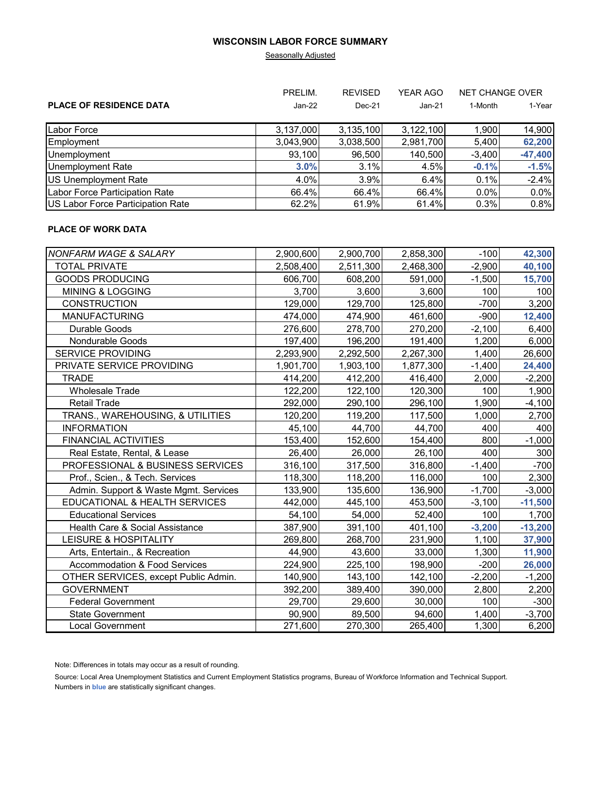### **WISCONSIN LABOR FORCE SUMMARY**

### **Seasonally Adjusted**

|                                   | PRELIM.<br><b>REVISED</b> |           | <b>YEAR AGO</b> | <b>NET CHANGE OVER</b> |           |
|-----------------------------------|---------------------------|-----------|-----------------|------------------------|-----------|
| <b>PLACE OF RESIDENCE DATA</b>    | $Jan-22$                  | $Dec-21$  | Jan-21          | 1-Month                | 1-Year    |
| Labor Force                       | 3,137,000                 | 3,135,100 | 3,122,100       | 1,900                  | 14,900    |
| Employment                        | 3,043,900                 | 3,038,500 | 2,981,700       | 5,400                  | 62,200    |
| Unemployment                      | 93.100                    | 96,500    | 140,500         | $-3.400$               | $-47,400$ |
| <b>Unemployment Rate</b>          | 3.0%                      | 3.1%      | 4.5%            | $-0.1%$                | $-1.5%$   |
| US Unemployment Rate              | 4.0%                      | 3.9%      | 6.4%            | 0.1%                   | $-2.4%$   |
| Labor Force Participation Rate    | 66.4%                     | 66.4%     | 66.4%           | $0.0\%$                | 0.0%      |
| US Labor Force Participation Rate | 62.2%                     | 61.9%     | 61.4%           | 0.3%                   | 0.8%      |

# **PLACE OF WORK DATA**

| <b>NONFARM WAGE &amp; SALARY</b>         | 2,900,600 | 2,900,700 | 2,858,300 | $-100$   | 42,300    |
|------------------------------------------|-----------|-----------|-----------|----------|-----------|
| <b>TOTAL PRIVATE</b>                     | 2,508,400 | 2,511,300 | 2,468,300 | $-2,900$ | 40,100    |
| <b>GOODS PRODUCING</b>                   | 606,700   | 608,200   | 591,000   | $-1,500$ | 15,700    |
| <b>MINING &amp; LOGGING</b>              | 3,700     | 3,600     | 3,600     | 100      | 100       |
| <b>CONSTRUCTION</b>                      | 129,000   | 129,700   | 125,800   | $-700$   | 3,200     |
| <b>MANUFACTURING</b>                     | 474,000   | 474,900   | 461,600   | $-900$   | 12,400    |
| Durable Goods                            | 276,600   | 278,700   | 270,200   | $-2,100$ | 6,400     |
| <b>Nondurable Goods</b>                  | 197,400   | 196,200   | 191,400   | 1,200    | 6,000     |
| <b>SERVICE PROVIDING</b>                 | 2,293,900 | 2,292,500 | 2,267,300 | 1,400    | 26,600    |
| PRIVATE SERVICE PROVIDING                | 1,901,700 | 1,903,100 | 1,877,300 | $-1,400$ | 24,400    |
| <b>TRADE</b>                             | 414,200   | 412,200   | 416,400   | 2,000    | $-2,200$  |
| <b>Wholesale Trade</b>                   | 122,200   | 122,100   | 120,300   | 100      | 1,900     |
| <b>Retail Trade</b>                      | 292,000   | 290,100   | 296,100   | 1,900    | $-4,100$  |
| TRANS., WAREHOUSING, & UTILITIES         | 120,200   | 119,200   | 117,500   | 1,000    | 2,700     |
| <b>INFORMATION</b>                       | 45,100    | 44,700    | 44,700    | 400      | 400       |
| <b>FINANCIAL ACTIVITIES</b>              | 153,400   | 152,600   | 154,400   | 800      | $-1,000$  |
| Real Estate, Rental, & Lease             | 26,400    | 26,000    | 26,100    | 400      | 300       |
| PROFESSIONAL & BUSINESS SERVICES         | 316,100   | 317,500   | 316,800   | $-1,400$ | $-700$    |
| Prof., Scien., & Tech. Services          | 118,300   | 118,200   | 116,000   | 100      | 2,300     |
| Admin. Support & Waste Mgmt. Services    | 133,900   | 135,600   | 136,900   | $-1,700$ | $-3,000$  |
| EDUCATIONAL & HEALTH SERVICES            | 442,000   | 445,100   | 453,500   | $-3,100$ | $-11,500$ |
| <b>Educational Services</b>              | 54,100    | 54,000    | 52,400    | 100      | 1,700     |
| Health Care & Social Assistance          | 387,900   | 391,100   | 401,100   | $-3,200$ | $-13,200$ |
| <b>LEISURE &amp; HOSPITALITY</b>         | 269,800   | 268,700   | 231,900   | 1,100    | 37,900    |
| Arts, Entertain., & Recreation           | 44,900    | 43,600    | 33,000    | 1,300    | 11,900    |
| <b>Accommodation &amp; Food Services</b> | 224,900   | 225,100   | 198,900   | $-200$   | 26,000    |
| OTHER SERVICES, except Public Admin.     | 140,900   | 143,100   | 142,100   | $-2,200$ | $-1,200$  |
| <b>GOVERNMENT</b>                        | 392,200   | 389,400   | 390,000   | 2,800    | 2,200     |
| <b>Federal Government</b>                | 29,700    | 29,600    | 30,000    | 100      | $-300$    |
| <b>State Government</b>                  | 90,900    | 89,500    | 94,600    | 1,400    | $-3,700$  |
| Local Government                         | 271,600   | 270,300   | 265,400   | 1,300    | 6,200     |

Note: Differences in totals may occur as a result of rounding.

Source: Local Area Unemployment Statistics and Current Employment Statistics programs, Bureau of Workforce Information and Technical Support. Numbers in **blue** are statistically significant changes.